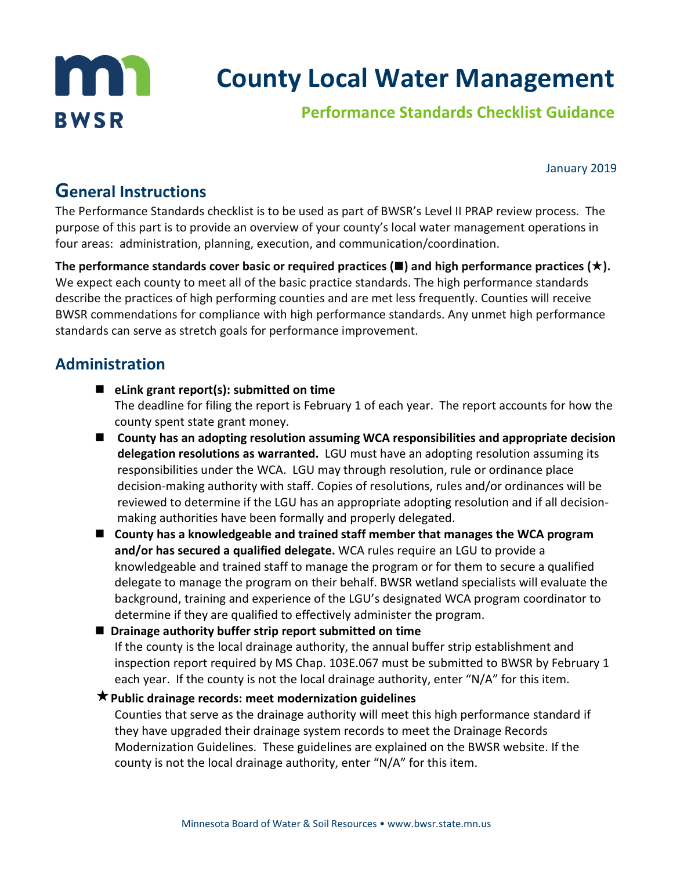

January 2019

# **General Instructions**

The Performance Standards checklist is to be used as part of BWSR's Level II PRAP review process. The purpose of this part is to provide an overview of your county's local water management operations in four areas: administration, planning, execution, and communication/coordination.

The performance standards cover basic or required practices  $(\blacksquare)$  and high performance practices  $(\star)$ . We expect each county to meet all of the basic practice standards. The high performance standards describe the practices of high performing counties and are met less frequently. Counties will receive BWSR commendations for compliance with high performance standards. Any unmet high performance standards can serve as stretch goals for performance improvement.

# **Administration**

- **eLink grant report(s): submitted on time** The deadline for filing the report is February 1 of each year. The report accounts for how the county spent state grant money.
- **County has an adopting resolution assuming WCA responsibilities and appropriate decision delegation resolutions as warranted.** LGU must have an adopting resolution assuming its responsibilities under the WCA. LGU may through resolution, rule or ordinance place decision-making authority with staff. Copies of resolutions, rules and/or ordinances will be reviewed to determine if the LGU has an appropriate adopting resolution and if all decisionmaking authorities have been formally and properly delegated.
- **County has a knowledgeable and trained staff member that manages the WCA program and/or has secured a qualified delegate.** WCA rules require an LGU to provide a knowledgeable and trained staff to manage the program or for them to secure a qualified delegate to manage the program on their behalf. BWSR wetland specialists will evaluate the background, training and experience of the LGU's designated WCA program coordinator to determine if they are qualified to effectively administer the program.

■ Drainage authority buffer strip report submitted on time If the county is the local drainage authority, the annual buffer strip establishment and inspection report required by MS Chap. 103E.067 must be submitted to BWSR by February 1 each year. If the county is not the local drainage authority, enter "N/A" for this item.

**Public drainage records: meet modernization guidelines**

Counties that serve as the drainage authority will meet this high performance standard if they have upgraded their drainage system records to meet the Drainage Records Modernization Guidelines. These guidelines are explained on the BWSR website. If the county is not the local drainage authority, enter "N/A" for this item.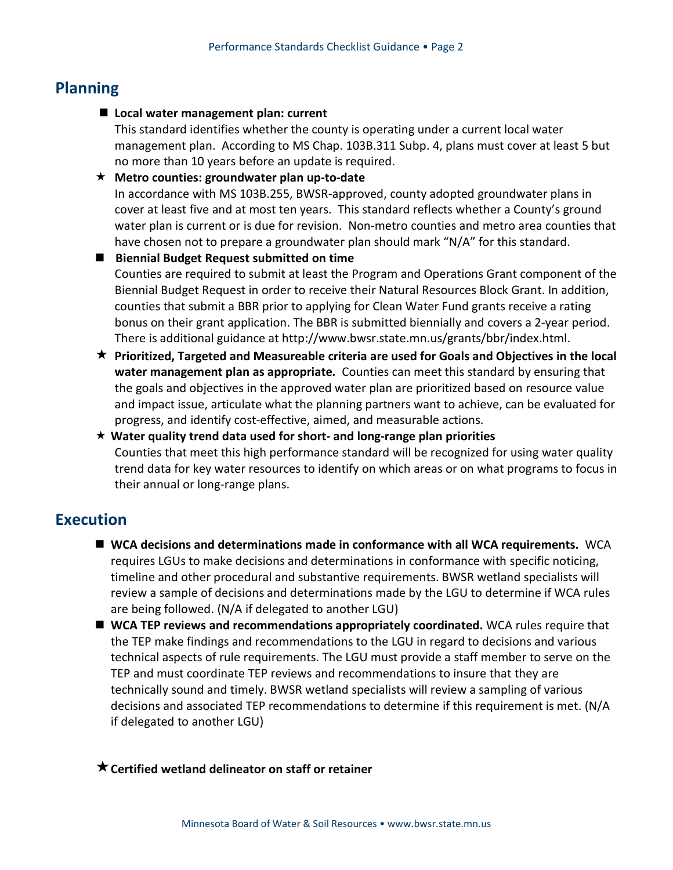## **Planning**

**Local water management plan: current**

This standard identifies whether the county is operating under a current local water management plan. According to MS Chap. 103B.311 Subp. 4, plans must cover at least 5 but no more than 10 years before an update is required.

#### **Metro counties: groundwater plan up-to-date**

In accordance with MS 103B.255, BWSR-approved, county adopted groundwater plans in cover at least five and at most ten years. This standard reflects whether a County's ground water plan is current or is due for revision. Non-metro counties and metro area counties that have chosen not to prepare a groundwater plan should mark "N/A" for this standard.

- **Biennial Budget Request submitted on time** Counties are required to submit at least the Program and Operations Grant component of the Biennial Budget Request in order to receive their Natural Resources Block Grant. In addition, counties that submit a BBR prior to applying for Clean Water Fund grants receive a rating bonus on their grant application. The BBR is submitted biennially and covers a 2-year period. There is additional guidance at http://www.bwsr.state.mn.us/grants/bbr/index.html.
- **Prioritized, Targeted and Measureable criteria are used for Goals and Objectives in the local water management plan as appropriate***.* Counties can meet this standard by ensuring that the goals and objectives in the approved water plan are prioritized based on resource value and impact issue, articulate what the planning partners want to achieve, can be evaluated for progress, and identify cost-effective, aimed, and measurable actions.
- **Water quality trend data used for short- and long-range plan priorities** Counties that meet this high performance standard will be recognized for using water quality trend data for key water resources to identify on which areas or on what programs to focus in their annual or long-range plans.

## **Execution**

- **WCA decisions and determinations made in conformance with all WCA requirements.** WCA requires LGUs to make decisions and determinations in conformance with specific noticing, timeline and other procedural and substantive requirements. BWSR wetland specialists will review a sample of decisions and determinations made by the LGU to determine if WCA rules are being followed. (N/A if delegated to another LGU)
- **WCA TEP reviews and recommendations appropriately coordinated.** WCA rules require that the TEP make findings and recommendations to the LGU in regard to decisions and various technical aspects of rule requirements. The LGU must provide a staff member to serve on the TEP and must coordinate TEP reviews and recommendations to insure that they are technically sound and timely. BWSR wetland specialists will review a sampling of various decisions and associated TEP recommendations to determine if this requirement is met. (N/A if delegated to another LGU)

### **Certified wetland delineator on staff or retainer**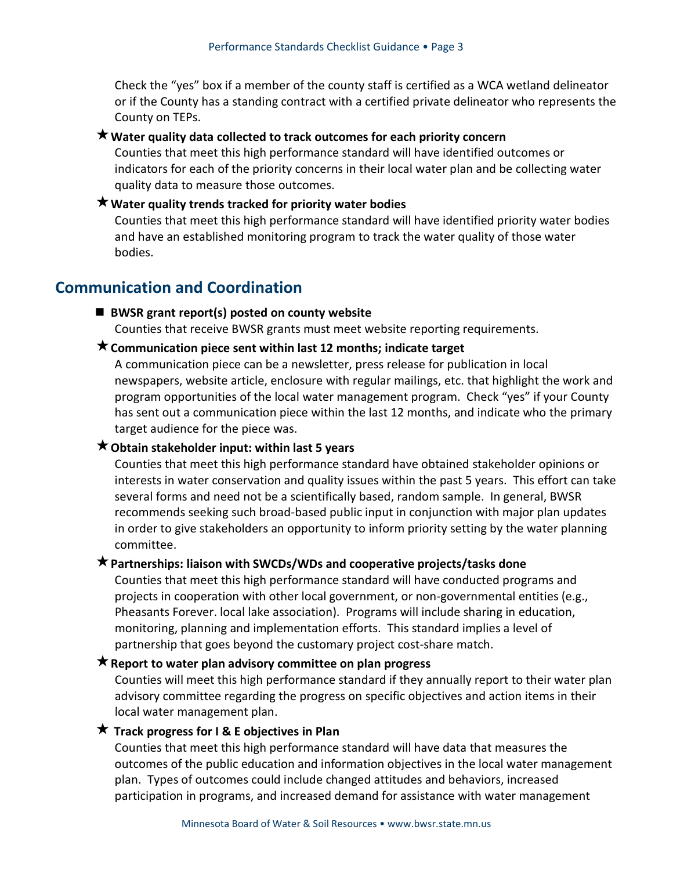Check the "yes" box if a member of the county staff is certified as a WCA wetland delineator or if the County has a standing contract with a certified private delineator who represents the County on TEPs.

#### **Water quality data collected to track outcomes for each priority concern**

Counties that meet this high performance standard will have identified outcomes or indicators for each of the priority concerns in their local water plan and be collecting water quality data to measure those outcomes.

#### **Water quality trends tracked for priority water bodies**

Counties that meet this high performance standard will have identified priority water bodies and have an established monitoring program to track the water quality of those water bodies.

### **Communication and Coordination**

#### ■ BWSR grant report(s) posted on county website

Counties that receive BWSR grants must meet website reporting requirements.

#### **★ Communication piece sent within last 12 months; indicate target**

A communication piece can be a newsletter, press release for publication in local newspapers, website article, enclosure with regular mailings, etc. that highlight the work and program opportunities of the local water management program. Check "yes" if your County has sent out a communication piece within the last 12 months, and indicate who the primary target audience for the piece was.

#### **Obtain stakeholder input: within last 5 years**

Counties that meet this high performance standard have obtained stakeholder opinions or interests in water conservation and quality issues within the past 5 years. This effort can take several forms and need not be a scientifically based, random sample. In general, BWSR recommends seeking such broad-based public input in conjunction with major plan updates in order to give stakeholders an opportunity to inform priority setting by the water planning committee.

#### **Partnerships: liaison with SWCDs/WDs and cooperative projects/tasks done**

Counties that meet this high performance standard will have conducted programs and projects in cooperation with other local government, or non-governmental entities (e.g., Pheasants Forever. local lake association). Programs will include sharing in education, monitoring, planning and implementation efforts. This standard implies a level of partnership that goes beyond the customary project cost-share match.

#### **★ Report to water plan advisory committee on plan progress**

Counties will meet this high performance standard if they annually report to their water plan advisory committee regarding the progress on specific objectives and action items in their local water management plan.

#### **★ Track progress for I & E objectives in Plan**

Counties that meet this high performance standard will have data that measures the outcomes of the public education and information objectives in the local water management plan. Types of outcomes could include changed attitudes and behaviors, increased participation in programs, and increased demand for assistance with water management